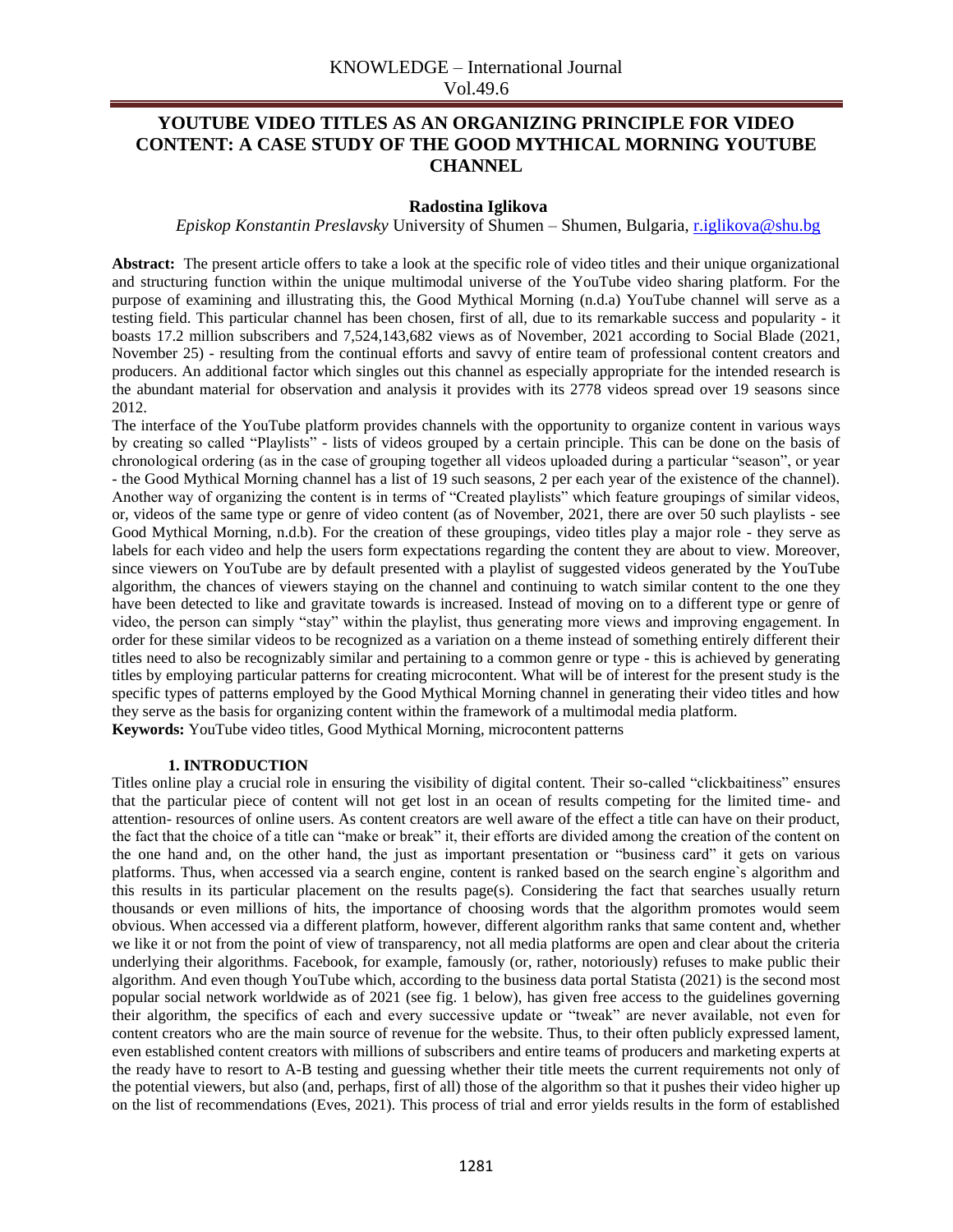# **YOUTUBE VIDEO TITLES AS AN ORGANIZING PRINCIPLE FOR VIDEO CONTENT: A CASE STUDY OF THE GOOD MYTHICAL MORNING YOUTUBE CHANNEL**

#### **Radostina Iglikova**

### *Episkop Konstantin Preslavsky* University of Shumen – Shumen, Bulgaria, [r.iglikova@shu.bg](mailto:r,iglikova@shu.bg)

**Abstract:** The present article offers to take a look at the specific role of video titles and their unique organizational and structuring function within the unique multimodal universe of the YouTube video sharing platform. For the purpose of examining and illustrating this, the Good Mythical Morning (n.d.a) YouTube channel will serve as a testing field. This particular channel has been chosen, first of all, due to its remarkable success and popularity - it boasts 17.2 million subscribers and 7,524,143,682 views as of November, 2021 according to Social Blade (2021, November 25) - resulting from the continual efforts and savvy of entire team of professional content creators and producers. An additional factor which singles out this channel as especially appropriate for the intended research is the abundant material for observation and analysis it provides with its 2778 videos spread over 19 seasons since 2012.

The interface of the YouTube platform provides channels with the opportunity to organize content in various ways by creating so called "Playlists" - lists of videos grouped by a certain principle. This can be done on the basis of chronological ordering (as in the case of grouping together all videos uploaded during a particular "season", or year - the Good Mythical Morning channel has a list of 19 such seasons, 2 per each year of the existence of the channel). Another way of organizing the content is in terms of "Created playlists" which feature groupings of similar videos, or, videos of the same type or genre of video content (as of November, 2021, there are over 50 such playlists - see Good Mythical Morning, n.d.b). For the creation of these groupings, video titles play a major role - they serve as labels for each video and help the users form expectations regarding the content they are about to view. Moreover, since viewers on YouTube are by default presented with a playlist of suggested videos generated by the YouTube algorithm, the chances of viewers staying on the channel and continuing to watch similar content to the one they have been detected to like and gravitate towards is increased. Instead of moving on to a different type or genre of video, the person can simply "stay" within the playlist, thus generating more views and improving engagement. In order for these similar videos to be recognized as a variation on a theme instead of something entirely different their titles need to also be recognizably similar and pertaining to a common genre or type - this is achieved by generating titles by employing particular patterns for creating microcontent. What will be of interest for the present study is the specific types of patterns employed by the Good Mythical Morning channel in generating their video titles and how they serve as the basis for organizing content within the framework of a multimodal media platform. **Keywords:** YouTube video titles, Good Mythical Morning, microcontent patterns

#### **1. INTRODUCTION**

Titles online play a crucial role in ensuring the visibility of digital content. Their so-called "clickbaitiness" ensures that the particular piece of content will not get lost in an ocean of results competing for the limited time- and attention- resources of online users. As content creators are well aware of the effect a title can have on their product, the fact that the choice of a title can "make or break" it, their efforts are divided among the creation of the content on the one hand and, on the other hand, the just as important presentation or "business card" it gets on various platforms. Thus, when accessed via a search engine, content is ranked based on the search engine`s algorithm and this results in its particular placement on the results page(s). Considering the fact that searches usually return thousands or even millions of hits, the importance of choosing words that the algorithm promotes would seem obvious. When accessed via a different platform, however, different algorithm ranks that same content and, whether we like it or not from the point of view of transparency, not all media platforms are open and clear about the criteria underlying their algorithms. Facebook, for example, famously (or, rather, notoriously) refuses to make public their algorithm. And even though YouTube which, according to the business data portal Statista (2021) is the second most popular social network worldwide as of 2021 (see fig. 1 below), has given free access to the guidelines governing their algorithm, the specifics of each and every successive update or "tweak" are never available, not even for content creators who are the main source of revenue for the website. Thus, to their often publicly expressed lament, even established content creators with millions of subscribers and entire teams of producers and marketing experts at the ready have to resort to A-B testing and guessing whether their title meets the current requirements not only of the potential viewers, but also (and, perhaps, first of all) those of the algorithm so that it pushes their video higher up on the list of recommendations (Eves, 2021). This process of trial and error yields results in the form of established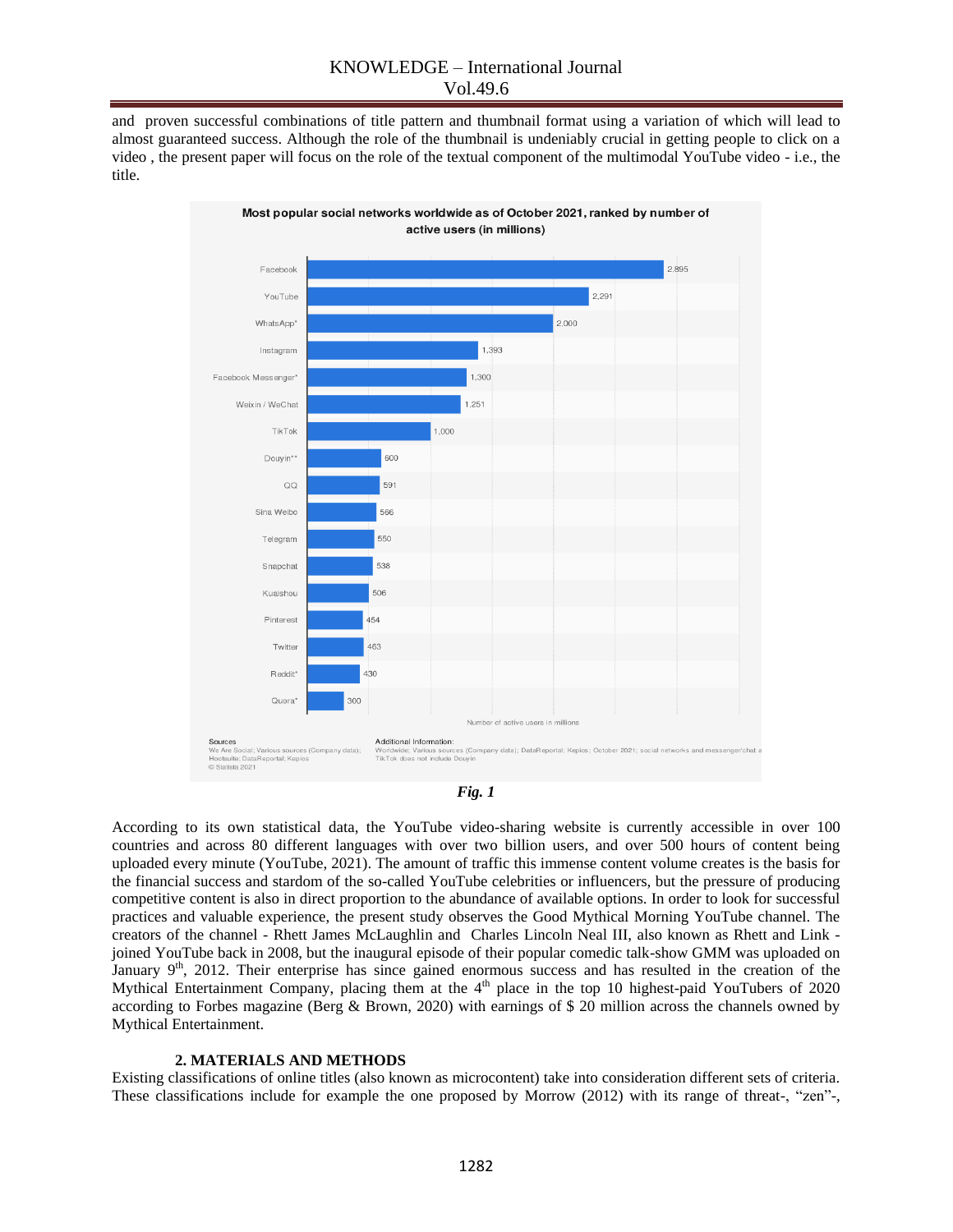## KNOWLEDGE – International Journal Vol.49.6

and proven successful combinations of title pattern and thumbnail format using a variation of which will lead to almost guaranteed success. Although the role of the thumbnail is undeniably crucial in getting people to click on a video , the present paper will focus on the role of the textual component of the multimodal YouTube video - i.e., the title.





According to its own statistical data, the YouTube video-sharing website is currently accessible in over 100 countries and across 80 different languages with over two billion users, and over 500 hours of content being uploaded every minute (YouTube, 2021). The amount of traffic this immense content volume creates is the basis for the financial success and stardom of the so-called YouTube celebrities or influencers, but the pressure of producing competitive content is also in direct proportion to the abundance of available options. In order to look for successful practices and valuable experience, the present study observes the Good Mythical Morning YouTube channel. The creators of the channel - Rhett James McLaughlin and Charles Lincoln Neal III, also known as Rhett and Link joined YouTube back in 2008, but the inaugural episode of their popular comedic talk-show GMM was uploaded on January  $9<sup>th</sup>$ , 2012. Their enterprise has since gained enormous success and has resulted in the creation of the Mythical Entertainment Company, placing them at the  $4<sup>th</sup>$  place in the top 10 highest-paid YouTubers of 2020 according to Forbes magazine (Berg & Brown, 2020) with earnings of \$ 20 million across the channels owned by Mythical Entertainment.

#### **2. MATERIALS AND METHODS**

Existing classifications of online titles (also known as microcontent) take into consideration different sets of criteria. These classifications include for example the one proposed by Morrow (2012) with its range of threat-, "zen"-,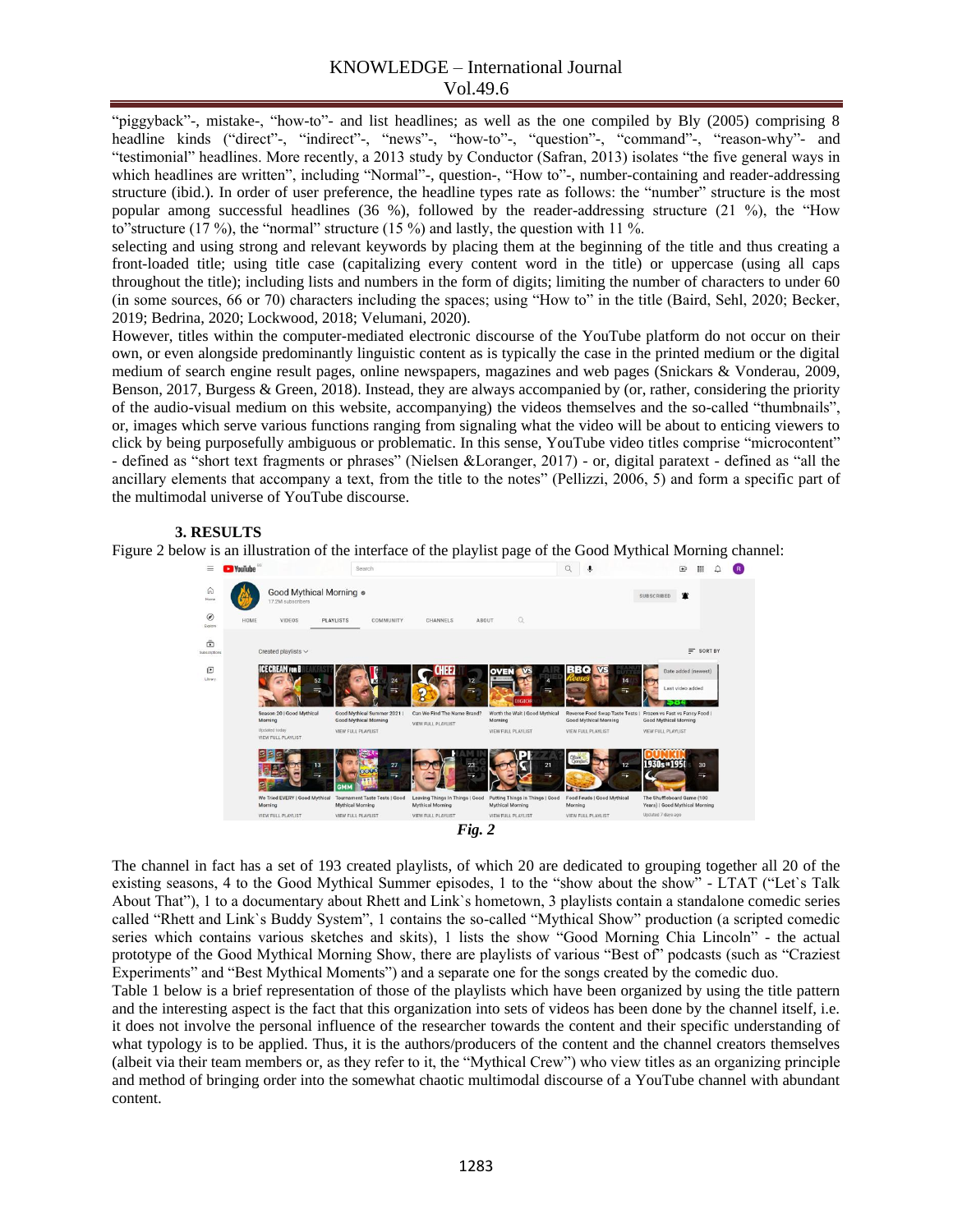"piggyback"-, mistake-, "how-to"- and list headlines; as well as the one compiled by Bly (2005) comprising 8 headline kinds ("direct"-, "indirect"-, "news"-, "how-to"-, "question"-, "command"-, "reason-why"- and "testimonial" headlines. More recently, a 2013 study by Conductor (Safran, 2013) isolates "the five general ways in which headlines are written", including "Normal"-, question-, "How to"-, number-containing and reader-addressing structure (ibid.). In order of user preference, the headline types rate as follows: the "number" structure is the most popular among successful headlines (36 %), followed by the reader-addressing structure (21 %), the "How to"structure (17 %), the "normal" structure (15 %) and lastly, the question with 11 %.

selecting and using strong and relevant keywords by placing them at the beginning of the title and thus creating a front-loaded title; using title case (capitalizing every content word in the title) or uppercase (using all caps throughout the title); including lists and numbers in the form of digits; limiting the number of characters to under 60 (in some sources, 66 or 70) characters including the spaces; using "How to" in the title (Baird, Sehl, 2020; Becker, 2019; Bedrina, 2020; Lockwood, 2018; Velumani, 2020).

However, titles within the computer-mediated electronic discourse of the YouTube platform do not occur on their own, or even alongside predominantly linguistic content as is typically the case in the printed medium or the digital medium of search engine result pages, online newspapers, magazines and web pages (Snickars & Vonderau, 2009, Benson, 2017, Burgess & Green, 2018). Instead, they are always accompanied by (or, rather, considering the priority of the audio-visual medium on this website, accompanying) the videos themselves and the so-called "thumbnails", or, images which serve various functions ranging from signaling what the video will be about to enticing viewers to click by being purposefully ambiguous or problematic. In this sense, YouTube video titles comprise "microcontent" - defined as "short text fragments or phrases" (Nielsen &Loranger, 2017) - or, digital paratext - defined as "all the ancillary elements that accompany a text, from the title to the notes" (Pellizzi, 2006, 5) and form a specific part of the multimodal universe of YouTube discourse.

#### **3. RESULTS**

Figure 2 below is an illustration of the interface of the playlist page of the Good Mythical Morning channel:





The channel in fact has a set of 193 created playlists, of which 20 are dedicated to grouping together all 20 of the existing seasons, 4 to the Good Mythical Summer episodes, 1 to the "show about the show" - LTAT ("Let`s Talk About That"), 1 to a documentary about Rhett and Link`s hometown, 3 playlists contain a standalone comedic series called "Rhett and Link`s Buddy System", 1 contains the so-called "Mythical Show" production (a scripted comedic series which contains various sketches and skits), 1 lists the show "Good Morning Chia Lincoln" - the actual prototype of the Good Mythical Morning Show, there are playlists of various "Best of" podcasts (such as "Craziest Experiments" and "Best Mythical Moments") and a separate one for the songs created by the comedic duo.

Table 1 below is a brief representation of those of the playlists which have been organized by using the title pattern and the interesting aspect is the fact that this organization into sets of videos has been done by the channel itself, i.e. it does not involve the personal influence of the researcher towards the content and their specific understanding of what typology is to be applied. Thus, it is the authors/producers of the content and the channel creators themselves (albeit via their team members or, as they refer to it, the "Mythical Crew") who view titles as an organizing principle and method of bringing order into the somewhat chaotic multimodal discourse of a YouTube channel with abundant content.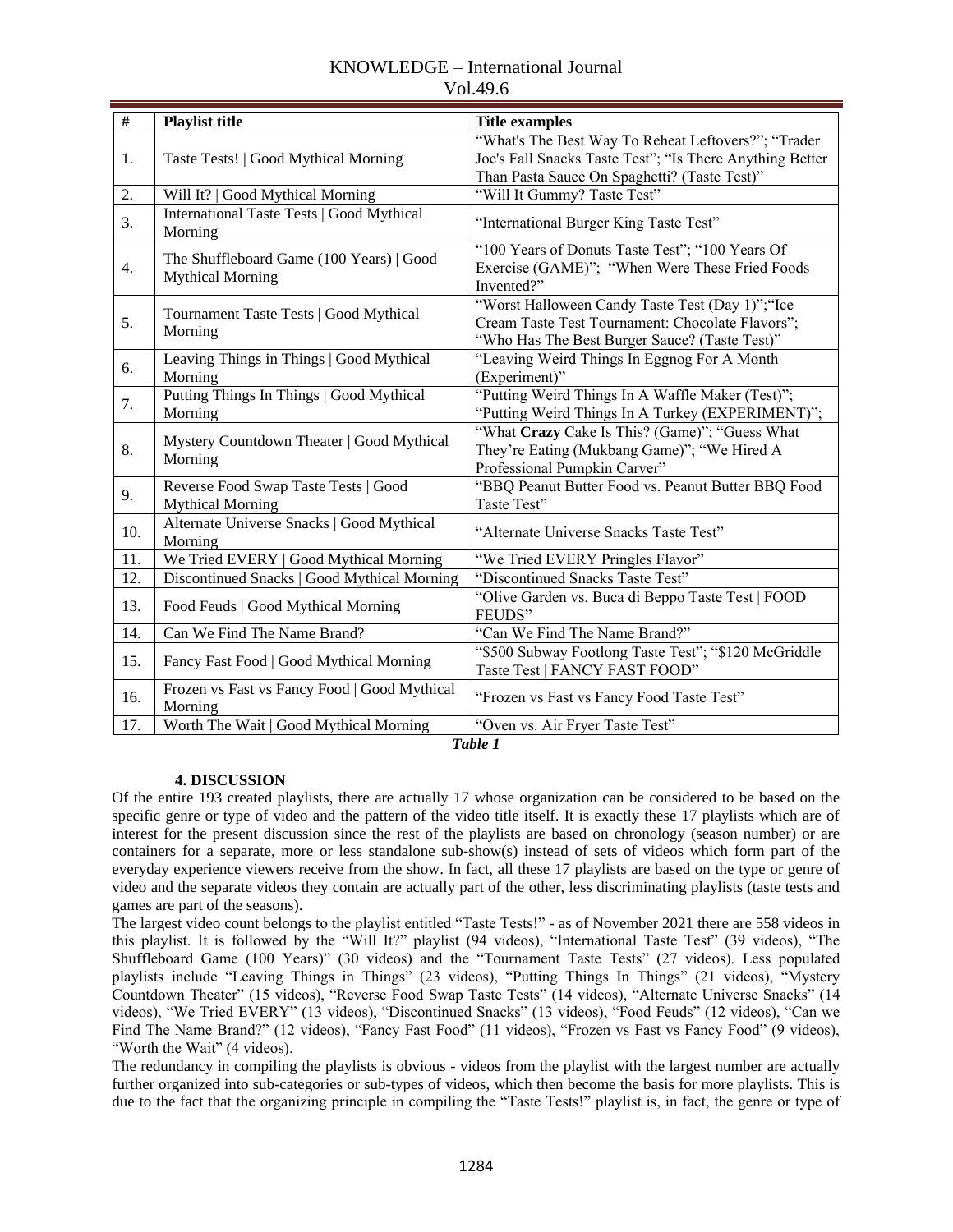### KNOWLEDGE – International Journal Vol.49.6

| #   | <b>Playlist title</b>                                               | <b>Title examples</b>                                                                                                                                           |
|-----|---------------------------------------------------------------------|-----------------------------------------------------------------------------------------------------------------------------------------------------------------|
| 1.  | Taste Tests!   Good Mythical Morning                                | "What's The Best Way To Reheat Leftovers?"; "Trader<br>Joe's Fall Snacks Taste Test"; "Is There Anything Better<br>Than Pasta Sauce On Spaghetti? (Taste Test)" |
| 2.  | Will It?   Good Mythical Morning                                    | "Will It Gummy? Taste Test"                                                                                                                                     |
| 3.  | <b>International Taste Tests   Good Mythical</b><br>Morning         | "International Burger King Taste Test"                                                                                                                          |
| 4.  | The Shuffleboard Game (100 Years)   Good<br><b>Mythical Morning</b> | "100 Years of Donuts Taste Test"; "100 Years Of<br>Exercise (GAME)"; "When Were These Fried Foods<br>Invented?"                                                 |
| 5.  | Tournament Taste Tests   Good Mythical<br>Morning                   | "Worst Halloween Candy Taste Test (Day 1)";"Ice<br>Cream Taste Test Tournament: Chocolate Flavors";<br>"Who Has The Best Burger Sauce? (Taste Test)"            |
| 6.  | Leaving Things in Things   Good Mythical<br>Morning                 | "Leaving Weird Things In Eggnog For A Month<br>(Experiment)"                                                                                                    |
| 7.  | Putting Things In Things   Good Mythical<br>Morning                 | "Putting Weird Things In A Waffle Maker (Test)";<br>"Putting Weird Things In A Turkey (EXPERIMENT)";                                                            |
| 8.  | Mystery Countdown Theater   Good Mythical<br>Morning                | "What Crazy Cake Is This? (Game)"; "Guess What<br>They're Eating (Mukbang Game)"; "We Hired A<br>Professional Pumpkin Carver"                                   |
| 9.  | Reverse Food Swap Taste Tests   Good<br><b>Mythical Morning</b>     | "BBQ Peanut Butter Food vs. Peanut Butter BBQ Food<br>Taste Test"                                                                                               |
| 10. | Alternate Universe Snacks   Good Mythical<br>Morning                | "Alternate Universe Snacks Taste Test"                                                                                                                          |
| 11. | We Tried EVERY   Good Mythical Morning                              | "We Tried EVERY Pringles Flavor"                                                                                                                                |
| 12. | Discontinued Snacks   Good Mythical Morning                         | "Discontinued Snacks Taste Test"                                                                                                                                |
| 13. | Food Feuds   Good Mythical Morning                                  | "Olive Garden vs. Buca di Beppo Taste Test   FOOD<br>FEUDS"                                                                                                     |
| 14. | Can We Find The Name Brand?                                         | "Can We Find The Name Brand?"                                                                                                                                   |
| 15. | Fancy Fast Food   Good Mythical Morning                             | "\$500 Subway Footlong Taste Test"; "\$120 McGriddle<br>Taste Test   FANCY FAST FOOD"                                                                           |
| 16. | Frozen vs Fast vs Fancy Food   Good Mythical<br>Morning             | "Frozen vs Fast vs Fancy Food Taste Test"                                                                                                                       |
| 17. | Worth The Wait   Good Mythical Morning                              | "Oven vs. Air Fryer Taste Test"<br>Table 1                                                                                                                      |

*Table 1*

#### **4. DISCUSSION**

Of the entire 193 created playlists, there are actually 17 whose organization can be considered to be based on the specific genre or type of video and the pattern of the video title itself. It is exactly these 17 playlists which are of interest for the present discussion since the rest of the playlists are based on chronology (season number) or are containers for a separate, more or less standalone sub-show(s) instead of sets of videos which form part of the everyday experience viewers receive from the show. In fact, all these 17 playlists are based on the type or genre of video and the separate videos they contain are actually part of the other, less discriminating playlists (taste tests and games are part of the seasons).

The largest video count belongs to the playlist entitled "Taste Tests!" - as of November 2021 there are 558 videos in this playlist. It is followed by the "Will It?" playlist (94 videos), "International Taste Test" (39 videos), "The Shuffleboard Game (100 Years)" (30 videos) and the "Tournament Taste Tests" (27 videos). Less populated playlists include "Leaving Things in Things" (23 videos), "Putting Things In Things" (21 videos), "Mystery Countdown Theater" (15 videos), "Reverse Food Swap Taste Tests" (14 videos), "Alternate Universe Snacks" (14 videos), "We Tried EVERY" (13 videos), "Discontinued Snacks" (13 videos), "Food Feuds" (12 videos), "Can we Find The Name Brand?" (12 videos), "Fancy Fast Food" (11 videos), "Frozen vs Fast vs Fancy Food" (9 videos), "Worth the Wait" (4 videos).

The redundancy in compiling the playlists is obvious - videos from the playlist with the largest number are actually further organized into sub-categories or sub-types of videos, which then become the basis for more playlists. This is due to the fact that the organizing principle in compiling the "Taste Tests!" playlist is, in fact, the genre or type of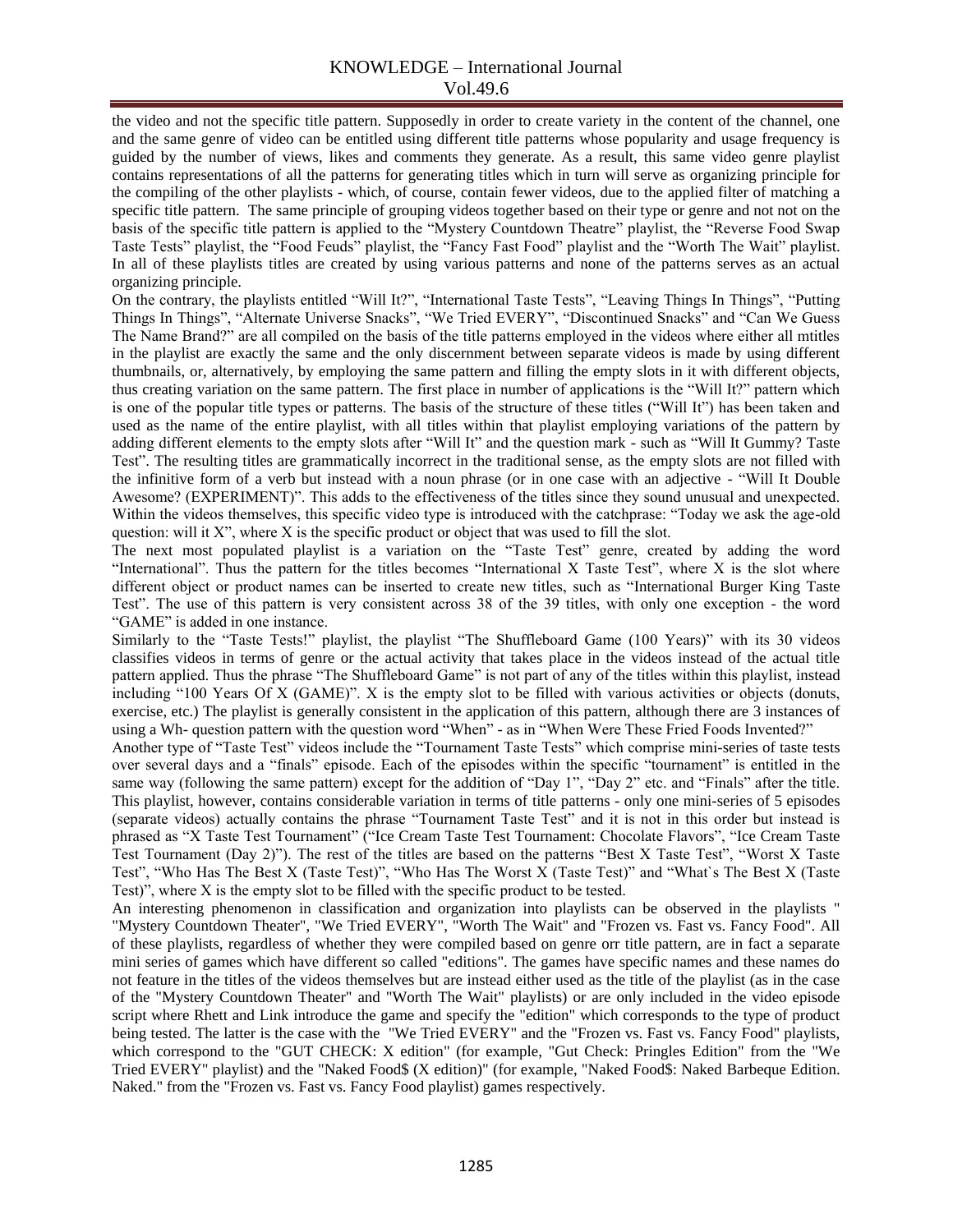# KNOWLEDGE – International Journal Vol.49.6

the video and not the specific title pattern. Supposedly in order to create variety in the content of the channel, one and the same genre of video can be entitled using different title patterns whose popularity and usage frequency is guided by the number of views, likes and comments they generate. As a result, this same video genre playlist contains representations of all the patterns for generating titles which in turn will serve as organizing principle for the compiling of the other playlists - which, of course, contain fewer videos, due to the applied filter of matching a specific title pattern. The same principle of grouping videos together based on their type or genre and not not on the basis of the specific title pattern is applied to the "Mystery Countdown Theatre" playlist, the "Reverse Food Swap Taste Tests" playlist, the "Food Feuds" playlist, the "Fancy Fast Food" playlist and the "Worth The Wait" playlist. In all of these playlists titles are created by using various patterns and none of the patterns serves as an actual organizing principle.

On the contrary, the playlists entitled "Will It?", "International Taste Tests", "Leaving Things In Things", "Putting Things In Things", "Alternate Universe Snacks", "We Tried EVERY", "Discontinued Snacks" and "Can We Guess The Name Brand?" are all compiled on the basis of the title patterns employed in the videos where either all mtitles in the playlist are exactly the same and the only discernment between separate videos is made by using different thumbnails, or, alternatively, by employing the same pattern and filling the empty slots in it with different objects, thus creating variation on the same pattern. The first place in number of applications is the "Will It?" pattern which is one of the popular title types or patterns. The basis of the structure of these titles ("Will It") has been taken and used as the name of the entire playlist, with all titles within that playlist employing variations of the pattern by adding different elements to the empty slots after "Will It" and the question mark - such as "Will It Gummy? Taste Test". The resulting titles are grammatically incorrect in the traditional sense, as the empty slots are not filled with the infinitive form of a verb but instead with a noun phrase (or in one case with an adjective - "Will It Double Awesome? (EXPERIMENT)". This adds to the effectiveness of the titles since they sound unusual and unexpected. Within the videos themselves, this specific video type is introduced with the catchprase: "Today we ask the age-old question: will it  $X$ ", where  $X$  is the specific product or object that was used to fill the slot.

The next most populated playlist is a variation on the "Taste Test" genre, created by adding the word "International". Thus the pattern for the titles becomes "International X Taste Test", where X is the slot where different object or product names can be inserted to create new titles, such as "International Burger King Taste Test". The use of this pattern is very consistent across 38 of the 39 titles, with only one exception - the word "GAME" is added in one instance.

Similarly to the "Taste Tests!" playlist, the playlist "The Shuffleboard Game (100 Years)" with its 30 videos classifies videos in terms of genre or the actual activity that takes place in the videos instead of the actual title pattern applied. Thus the phrase "The Shuffleboard Game" is not part of any of the titles within this playlist, instead including "100 Years Of X (GAME)". X is the empty slot to be filled with various activities or objects (donuts, exercise, etc.) The playlist is generally consistent in the application of this pattern, although there are 3 instances of using a Wh- question pattern with the question word "When" - as in "When Were These Fried Foods Invented?"

Another type of "Taste Test" videos include the "Tournament Taste Tests" which comprise mini-series of taste tests over several days and a "finals" episode. Each of the episodes within the specific "tournament" is entitled in the same way (following the same pattern) except for the addition of "Day 1", "Day 2" etc. and "Finals" after the title. This playlist, however, contains considerable variation in terms of title patterns - only one mini-series of 5 episodes (separate videos) actually contains the phrase "Tournament Taste Test" and it is not in this order but instead is phrased as "X Taste Test Tournament" ("Ice Cream Taste Test Tournament: Chocolate Flavors", ["Ice Cream Taste](https://www.youtube.com/watch?v=E7GGNnkmp7w&list=PLJ49NV73ttrurMhoBzKyGU5MRFNww-Qrk&index=8)  [Test Tournament \(Day 2\)"\). The rest of the titles are based on the patterns "Best X Taste Test", "Worst X Taste](https://www.youtube.com/watch?v=E7GGNnkmp7w&list=PLJ49NV73ttrurMhoBzKyGU5MRFNww-Qrk&index=8)  [Test", "Who Has The Best X \(Taste Test\)", "Who Has The Worst X \(Taste Test\)" and "What`s The Best X \(Taste](https://www.youtube.com/watch?v=E7GGNnkmp7w&list=PLJ49NV73ttrurMhoBzKyGU5MRFNww-Qrk&index=8)  [Test\)", where X is the empty slot to be filled with the specific product to be tested.](https://www.youtube.com/watch?v=E7GGNnkmp7w&list=PLJ49NV73ttrurMhoBzKyGU5MRFNww-Qrk&index=8)

[An interesting phenomenon in classification and organization into playlists can be](https://www.youtube.com/watch?v=E7GGNnkmp7w&list=PLJ49NV73ttrurMhoBzKyGU5MRFNww-Qrk&index=8) observed in the playlists " ["Mystery Countdown Theater", "We Tried EVERY", "Worth The Wait" and "Frozen vs. Fast vs. Fancy Food". All](https://www.youtube.com/watch?v=E7GGNnkmp7w&list=PLJ49NV73ttrurMhoBzKyGU5MRFNww-Qrk&index=8)  [of these playlists, regardless of whether they were compiled based on genre orr title pattern, are in fact a separate](https://www.youtube.com/watch?v=E7GGNnkmp7w&list=PLJ49NV73ttrurMhoBzKyGU5MRFNww-Qrk&index=8)  [mini series of games which have different so called "editions". The games have specific names and these names do](https://www.youtube.com/watch?v=E7GGNnkmp7w&list=PLJ49NV73ttrurMhoBzKyGU5MRFNww-Qrk&index=8)  [not feature in the titles of the videos themselves but are instead either used as the title of the playlist \(as in the case](https://www.youtube.com/watch?v=E7GGNnkmp7w&list=PLJ49NV73ttrurMhoBzKyGU5MRFNww-Qrk&index=8)  [of the "Mystery Countdown Theater" and "Worth The Wait" playlists\) or are only included in the video episode](https://www.youtube.com/watch?v=E7GGNnkmp7w&list=PLJ49NV73ttrurMhoBzKyGU5MRFNww-Qrk&index=8)  [script where Rhett and Link introduce the game and specify the "edition" which corresponds to the type of product](https://www.youtube.com/watch?v=E7GGNnkmp7w&list=PLJ49NV73ttrurMhoBzKyGU5MRFNww-Qrk&index=8)  [being tested. The latter is the case with the "We Tried EVERY" and the "Frozen vs. Fast vs. Fancy Food" playlists,](https://www.youtube.com/watch?v=E7GGNnkmp7w&list=PLJ49NV73ttrurMhoBzKyGU5MRFNww-Qrk&index=8)  [which correspond to the "GUT CHECK: X edition" \(for example, "Gut Check: Pringles Edition" from the "We](https://www.youtube.com/watch?v=E7GGNnkmp7w&list=PLJ49NV73ttrurMhoBzKyGU5MRFNww-Qrk&index=8)  [Tried EVERY" playlist\) and the "Naked Food\\$ \(X edition\)" \(for example, "Naked Food\\$: Naked Barbeque Edition.](https://www.youtube.com/watch?v=E7GGNnkmp7w&list=PLJ49NV73ttrurMhoBzKyGU5MRFNww-Qrk&index=8)  [Naked." from the "Frozen vs. Fast vs. Fancy Food playlist\) games respectively.](https://www.youtube.com/watch?v=E7GGNnkmp7w&list=PLJ49NV73ttrurMhoBzKyGU5MRFNww-Qrk&index=8)